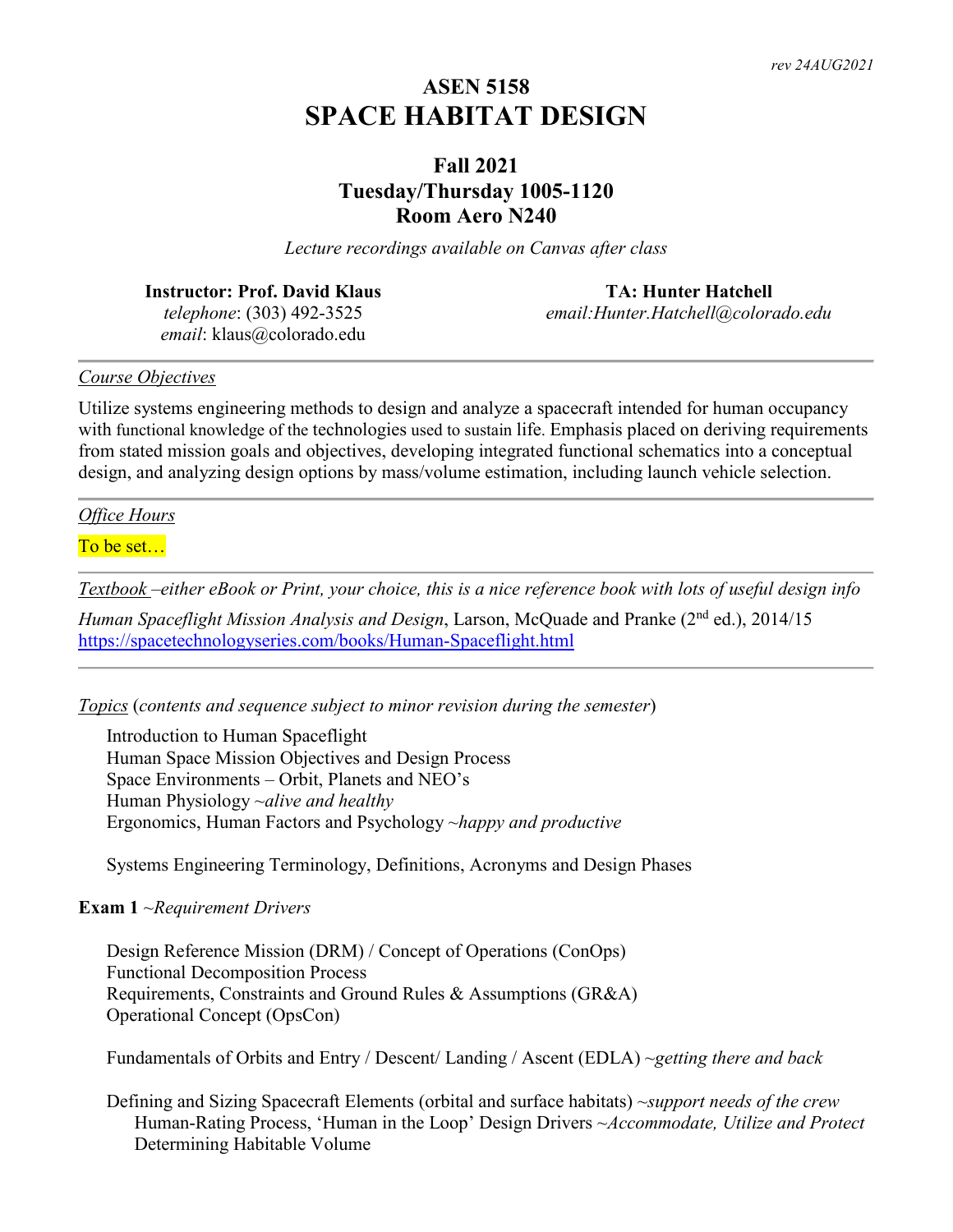# **ASEN 5158 SPACE HABITAT DESIGN**

## **Fall 2021 Tuesday/Thursday 1005-1120 Room Aero N240**

*Lecture recordings available on Canvas after class*

**Instructor: Prof. David Klaus** 

*telephone*: (303) 492-3525 *email*: klaus@colorado.edu

## **TA: Hunter Hatchell**

*email:Hunter.Hatchell@colorado.edu*

#### *Course Objectives*

Utilize systems engineering methods to design and analyze a spacecraft intended for human occupancy with functional knowledge of the technologies used to sustain life. Emphasis placed on deriving requirements from stated mission goals and objectives, developing integrated functional schematics into a conceptual design, and analyzing design options by mass/volume estimation, including launch vehicle selection.

#### *Office Hours*

To be set…

*Textbook –either eBook or Print, your choice, this is a nice reference book with lots of useful design info*

*Human Spaceflight Mission Analysis and Design*, Larson, McQuade and Pranke (2<sup>nd</sup> ed.), 2014/15 <https://spacetechnologyseries.com/books/Human-Spaceflight.html>

*Topics* (*contents and sequence subject to minor revision during the semester*)

Introduction to Human Spaceflight Human Space Mission Objectives and Design Process Space Environments – Orbit, Planets and NEO's Human Physiology ~*alive and healthy* Ergonomics, Human Factors and Psychology ~*happy and productive*

Systems Engineering Terminology, Definitions, Acronyms and Design Phases

#### **Exam 1** *~Requirement Drivers*

Design Reference Mission (DRM) / Concept of Operations (ConOps) Functional Decomposition Process Requirements, Constraints and Ground Rules & Assumptions (GR&A) Operational Concept (OpsCon)

Fundamentals of Orbits and Entry / Descent/ Landing / Ascent (EDLA) ~*getting there and back*

Defining and Sizing Spacecraft Elements (orbital and surface habitats) ~*support needs of the crew* Human-Rating Process, 'Human in the Loop' Design Drivers ~*Accommodate, Utilize and Protect* Determining Habitable Volume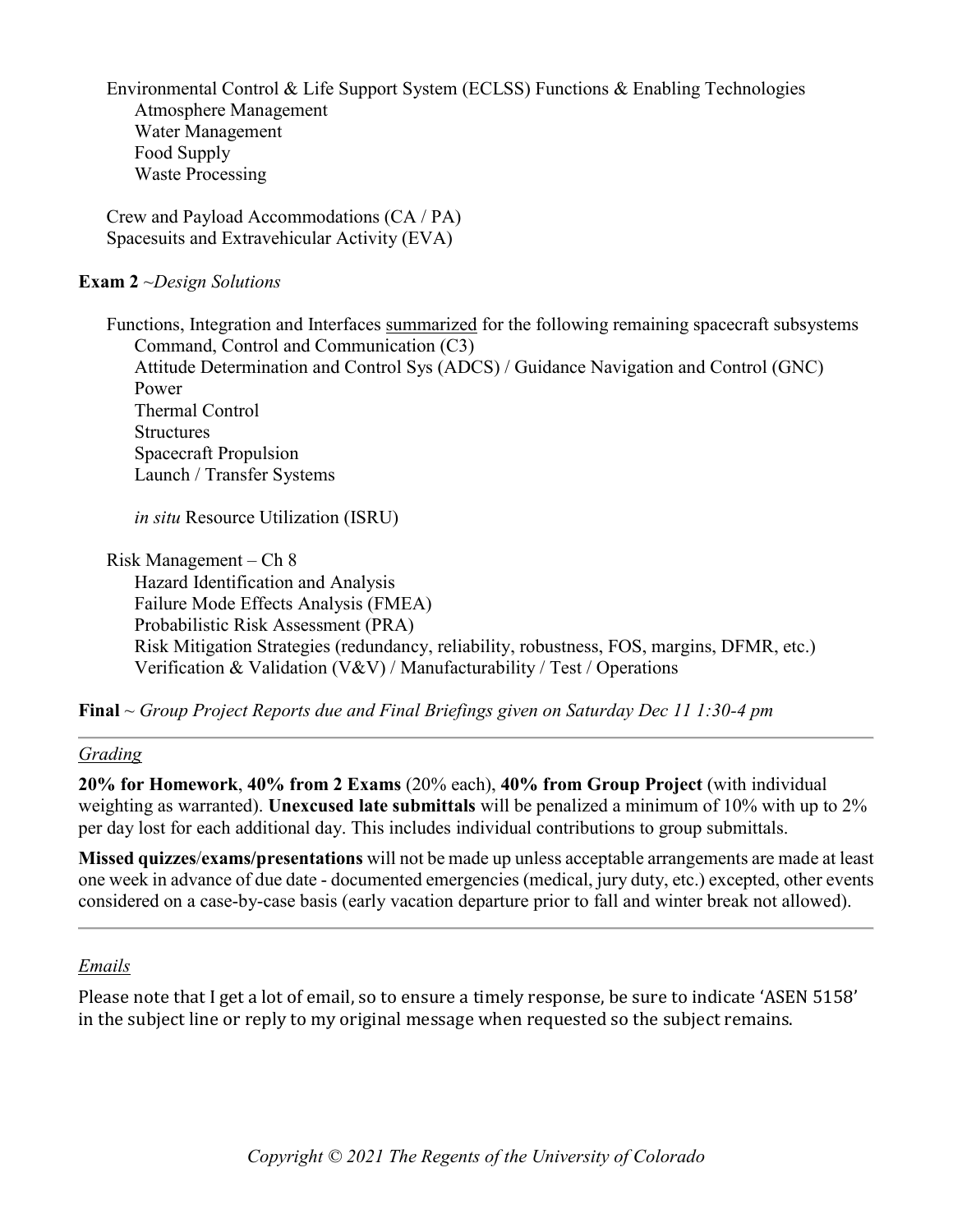Environmental Control & Life Support System (ECLSS) Functions & Enabling Technologies Atmosphere Management Water Management Food Supply Waste Processing

Crew and Payload Accommodations (CA / PA) Spacesuits and Extravehicular Activity (EVA)

## **Exam 2** *~Design Solutions*

Functions, Integration and Interfaces summarized for the following remaining spacecraft subsystems Command, Control and Communication (C3) Attitude Determination and Control Sys (ADCS) / Guidance Navigation and Control (GNC) Power Thermal Control **Structures** Spacecraft Propulsion Launch / Transfer Systems

*in situ* Resource Utilization (ISRU)

Risk Management – Ch 8 Hazard Identification and Analysis Failure Mode Effects Analysis (FMEA) Probabilistic Risk Assessment (PRA) Risk Mitigation Strategies (redundancy, reliability, robustness, FOS, margins, DFMR, etc.) Verification & Validation (V&V) / Manufacturability / Test / Operations

**Final** *~ Group Project Reports due and Final Briefings given on Saturday Dec 11 1:30-4 pm*

## *Grading*

**20% for Homework**, **40% from 2 Exams** (20% each), **40% from Group Project** (with individual weighting as warranted). **Unexcused late submittals** will be penalized a minimum of 10% with up to 2% per day lost for each additional day. This includes individual contributions to group submittals.

**Missed quizzes**/**exams/presentations** will not be made up unless acceptable arrangements are made at least one week in advance of due date - documented emergencies (medical, jury duty, etc.) excepted, other events considered on a case-by-case basis (early vacation departure prior to fall and winter break not allowed).

## *Emails*

Please note that I get a lot of email, so to ensure a timely response, be sure to indicate 'ASEN 5158' in the subject line or reply to my original message when requested so the subject remains.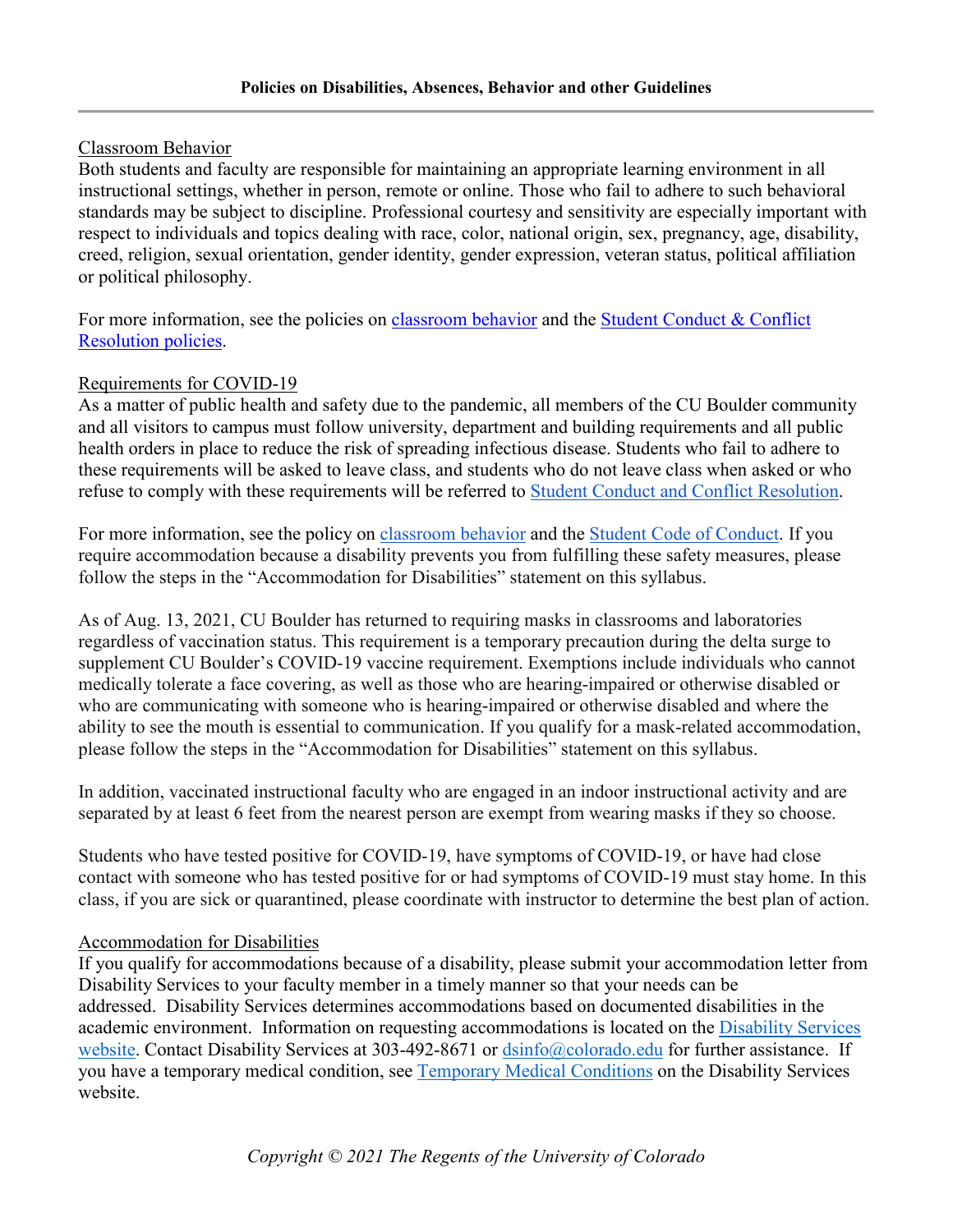#### Classroom Behavior

Both students and faculty are responsible for maintaining an appropriate learning environment in all instructional settings, whether in person, remote or online. Those who fail to adhere to such behavioral standards may be subject to discipline. Professional courtesy and sensitivity are especially important with respect to individuals and topics dealing with race, color, national origin, sex, pregnancy, age, disability, creed, religion, sexual orientation, gender identity, gender expression, veteran status, political affiliation or political philosophy.

For more information, see the policies on [classroom behavior](http://www.colorado.edu/policies/student-classroom-and-course-related-behavior) and the [Student Conduct & Conflict](https://www.colorado.edu/sccr/student-conduct)  [Resolution policies.](https://www.colorado.edu/sccr/student-conduct)

#### Requirements for COVID-19

As a matter of public health and safety due to the pandemic, all members of the CU Boulder community and all visitors to campus must follow university, department and building requirements and all public health orders in place to reduce the risk of spreading infectious disease. Students who fail to adhere to these requirements will be asked to leave class, and students who do not leave class when asked or who refuse to comply with these requirements will be referred to [Student Conduct and Conflict Resolution.](https://www.colorado.edu/sccr/)

For more information, see the policy on [classroom behavior](https://www.colorado.edu/policies/covid-19-health-and-safety-policy) and the [Student Code of Conduct.](http://www.colorado.edu/osccr/) If you require accommodation because a disability prevents you from fulfilling these safety measures, please follow the steps in the "Accommodation for Disabilities" statement on this syllabus.

As of Aug. 13, 2021, CU Boulder has returned to requiring masks in classrooms and laboratories regardless of vaccination status. This requirement is a temporary precaution during the delta surge to supplement CU Boulder's COVID-19 vaccine requirement. Exemptions include individuals who cannot medically tolerate a face covering, as well as those who are hearing-impaired or otherwise disabled or who are communicating with someone who is hearing-impaired or otherwise disabled and where the ability to see the mouth is essential to communication. If you qualify for a mask-related accommodation, please follow the steps in the "Accommodation for Disabilities" statement on this syllabus.

In addition, vaccinated instructional faculty who are engaged in an indoor instructional activity and are separated by at least 6 feet from the nearest person are exempt from wearing masks if they so choose.

Students who have tested positive for COVID-19, have symptoms of COVID-19, or have had close contact with someone who has tested positive for or had symptoms of COVID-19 must stay home. In this class, if you are sick or quarantined, please coordinate with instructor to determine the best plan of action.

#### Accommodation for Disabilities

If you qualify for accommodations because of a disability, please submit your accommodation letter from Disability Services to your faculty member in a timely manner so that your needs can be addressed. Disability Services determines accommodations based on documented disabilities in the academic environment. Information on requesting accommodations is located on the [Disability Services](https://www.colorado.edu/disabilityservices/)  [website.](https://www.colorado.edu/disabilityservices/) Contact Disability Services at 303-492-8671 or [dsinfo@colorado.edu](mailto:dsinfo@colorado.edu) for further assistance. If you have a temporary medical condition, see [Temporary Medical Conditions](http://www.colorado.edu/disabilityservices/students/temporary-medical-conditions) on the Disability Services website.